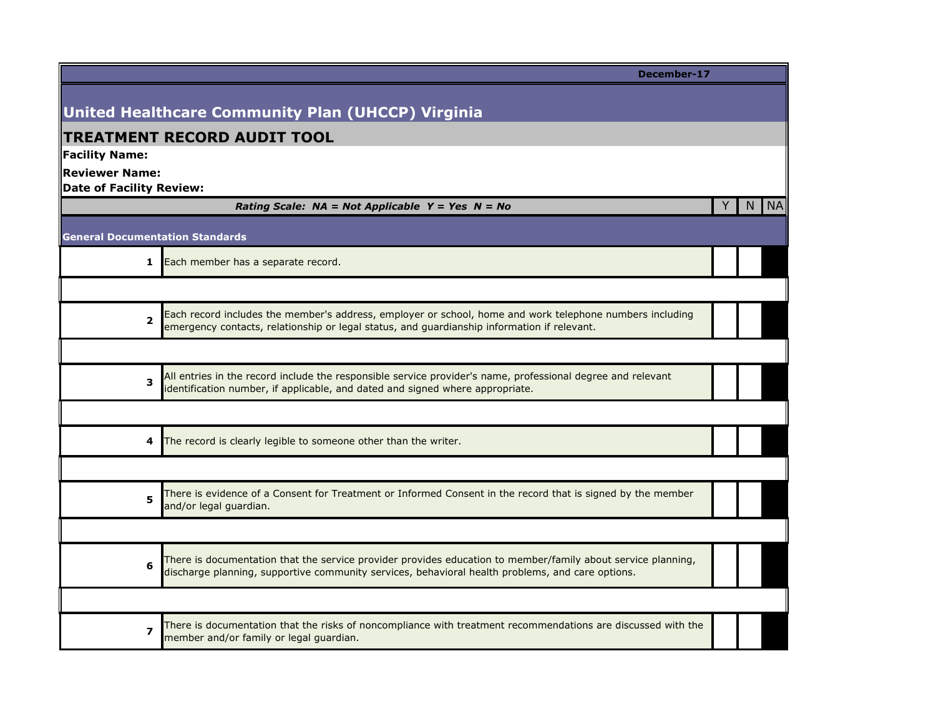|                                        | December-17                                                                                                                                                                                                      |       |
|----------------------------------------|------------------------------------------------------------------------------------------------------------------------------------------------------------------------------------------------------------------|-------|
|                                        |                                                                                                                                                                                                                  |       |
|                                        | <b>United Healthcare Community Plan (UHCCP) Virginia</b>                                                                                                                                                         |       |
| <b>Facility Name:</b>                  | <b>TREATMENT RECORD AUDIT TOOL</b>                                                                                                                                                                               |       |
| <b>Reviewer Name:</b>                  |                                                                                                                                                                                                                  |       |
| <b>Date of Facility Review:</b>        |                                                                                                                                                                                                                  |       |
|                                        | Rating Scale: $NA = Not Applied Y = Yes \tN = No$<br>Y.                                                                                                                                                          | N INA |
| <b>General Documentation Standards</b> |                                                                                                                                                                                                                  |       |
| 1                                      | Each member has a separate record.                                                                                                                                                                               |       |
|                                        |                                                                                                                                                                                                                  |       |
| 2                                      | Each record includes the member's address, employer or school, home and work telephone numbers including<br>emergency contacts, relationship or legal status, and guardianship information if relevant.          |       |
|                                        |                                                                                                                                                                                                                  |       |
| 3                                      | All entries in the record include the responsible service provider's name, professional degree and relevant<br>identification number, if applicable, and dated and signed where appropriate.                     |       |
|                                        |                                                                                                                                                                                                                  |       |
| 4                                      | The record is clearly legible to someone other than the writer.                                                                                                                                                  |       |
|                                        |                                                                                                                                                                                                                  |       |
| 5                                      | There is evidence of a Consent for Treatment or Informed Consent in the record that is signed by the member<br>and/or legal guardian.                                                                            |       |
|                                        |                                                                                                                                                                                                                  |       |
| 6                                      | There is documentation that the service provider provides education to member/family about service planning,<br>discharge planning, supportive community services, behavioral health problems, and care options. |       |
|                                        |                                                                                                                                                                                                                  |       |
| $\overline{\mathbf{z}}$                | There is documentation that the risks of noncompliance with treatment recommendations are discussed with the<br>member and/or family or legal guardian.                                                          |       |
|                                        |                                                                                                                                                                                                                  |       |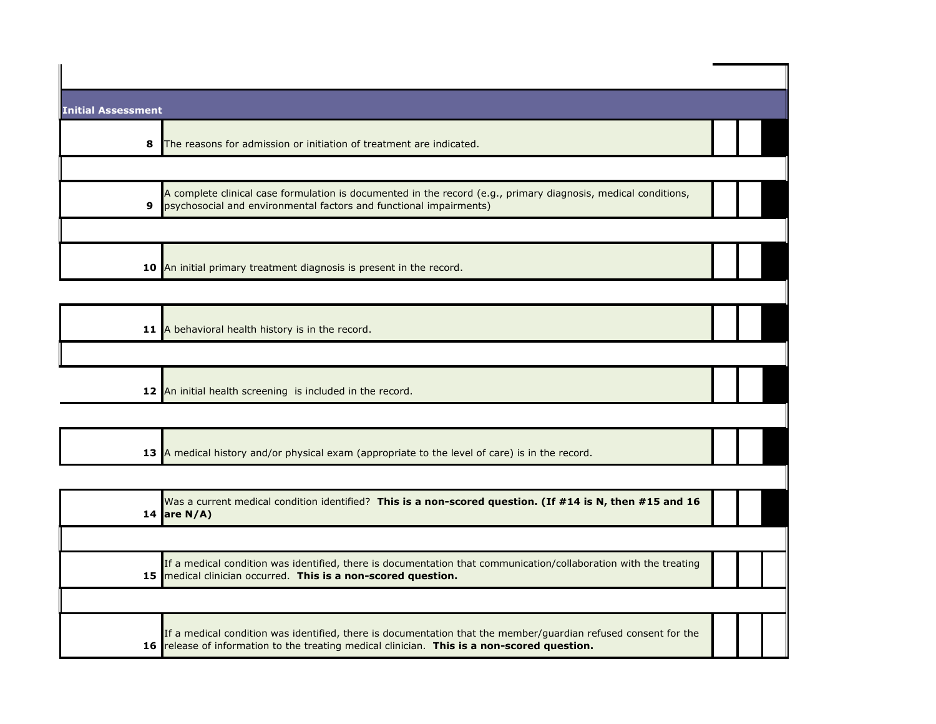| <b>Initial Assessment</b> |                                                                                                                                                                                           |  |  |
|---------------------------|-------------------------------------------------------------------------------------------------------------------------------------------------------------------------------------------|--|--|
|                           | 8<br>The reasons for admission or initiation of treatment are indicated.                                                                                                                  |  |  |
|                           |                                                                                                                                                                                           |  |  |
|                           | A complete clinical case formulation is documented in the record (e.g., primary diagnosis, medical conditions,<br>psychosocial and environmental factors and functional impairments)<br>9 |  |  |
|                           |                                                                                                                                                                                           |  |  |
|                           | 10 An initial primary treatment diagnosis is present in the record.                                                                                                                       |  |  |
|                           |                                                                                                                                                                                           |  |  |
|                           | 11 A behavioral health history is in the record.                                                                                                                                          |  |  |
|                           |                                                                                                                                                                                           |  |  |

**12** An initial health screening is included in the record.

| 13 A medical history and/or physical exam (appropriate to the level of care) is in the record. |
|------------------------------------------------------------------------------------------------|
|------------------------------------------------------------------------------------------------|

| Was a current medical condition identified? This is a non-scored question. (If #14 is N, then #15 and 16<br>14 are $N/A$ )                                                                                    |  |  |
|---------------------------------------------------------------------------------------------------------------------------------------------------------------------------------------------------------------|--|--|
|                                                                                                                                                                                                               |  |  |
| If a medical condition was identified, there is documentation that communication/collaboration with the treating<br>15 medical clinician occurred. This is a non-scored question.                             |  |  |
|                                                                                                                                                                                                               |  |  |
| If a medical condition was identified, there is documentation that the member/guardian refused consent for the<br>16 release of information to the treating medical clinician. This is a non-scored question. |  |  |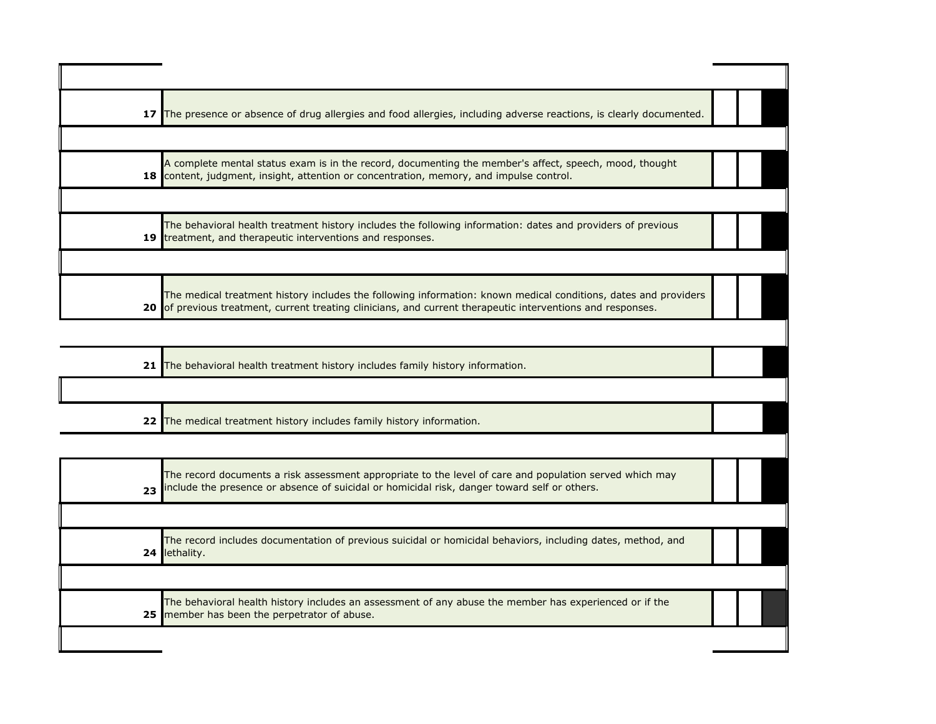| 17 The presence or absence of drug allergies and food allergies, including adverse reactions, is clearly documented.                                                                                                           |  |  |
|--------------------------------------------------------------------------------------------------------------------------------------------------------------------------------------------------------------------------------|--|--|
|                                                                                                                                                                                                                                |  |  |
| A complete mental status exam is in the record, documenting the member's affect, speech, mood, thought<br>18 content, judgment, insight, attention or concentration, memory, and impulse control.                              |  |  |
|                                                                                                                                                                                                                                |  |  |
| The behavioral health treatment history includes the following information: dates and providers of previous<br>19 treatment, and therapeutic interventions and responses.                                                      |  |  |
|                                                                                                                                                                                                                                |  |  |
| The medical treatment history includes the following information: known medical conditions, dates and providers<br>20 of previous treatment, current treating clinicians, and current therapeutic interventions and responses. |  |  |

| 21 The behavioral health treatment history includes family history information. |  |
|---------------------------------------------------------------------------------|--|
|                                                                                 |  |
| 22 The medical treatment history includes family history information.           |  |

| The record documents a risk assessment appropriate to the level of care and population served which may<br>23 include the presence or absence of suicidal or homicidal risk, danger toward self or others. |  |
|------------------------------------------------------------------------------------------------------------------------------------------------------------------------------------------------------------|--|
| The record includes documentation of previous suicidal or homicidal behaviors, including dates, method, and<br>24 lethality.                                                                               |  |
| The behavioral health history includes an assessment of any abuse the member has experienced or if the<br>25 member has been the perpetrator of abuse.                                                     |  |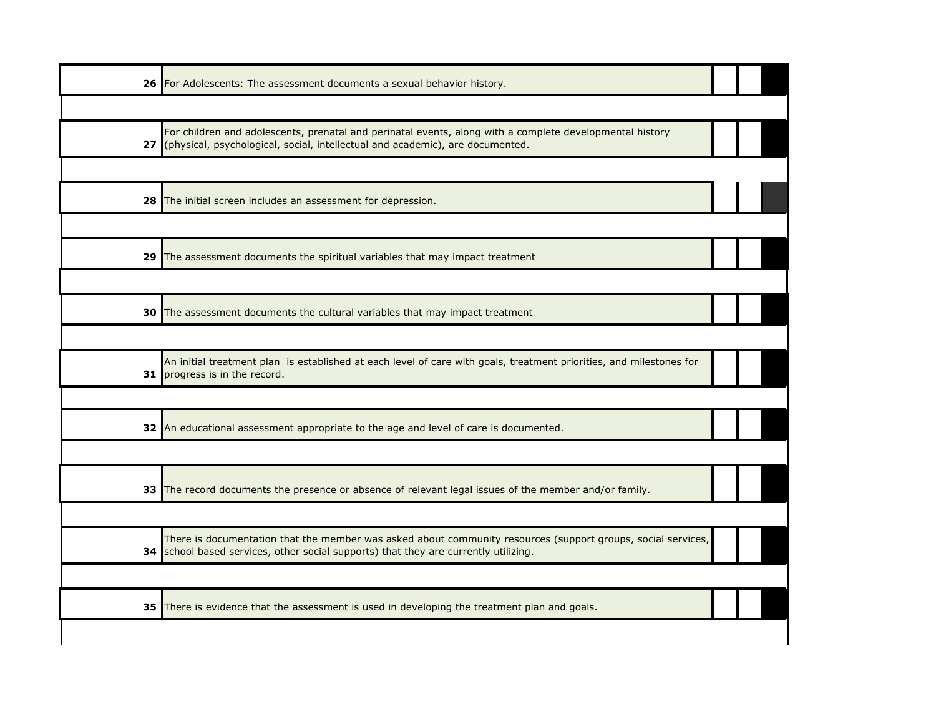| 26 For Adolescents: The assessment documents a sexual behavior history.                                                                                                                             |  |  |
|-----------------------------------------------------------------------------------------------------------------------------------------------------------------------------------------------------|--|--|
|                                                                                                                                                                                                     |  |  |
| For children and adolescents, prenatal and perinatal events, along with a complete developmental history<br>27 (physical, psychological, social, intellectual and academic), are documented.        |  |  |
|                                                                                                                                                                                                     |  |  |
| 28 The initial screen includes an assessment for depression.                                                                                                                                        |  |  |
|                                                                                                                                                                                                     |  |  |
| 29 The assessment documents the spiritual variables that may impact treatment                                                                                                                       |  |  |
|                                                                                                                                                                                                     |  |  |
| 30 The assessment documents the cultural variables that may impact treatment                                                                                                                        |  |  |
|                                                                                                                                                                                                     |  |  |
| An initial treatment plan is established at each level of care with goals, treatment priorities, and milestones for<br>31 progress is in the record.                                                |  |  |
|                                                                                                                                                                                                     |  |  |
| 32 An educational assessment appropriate to the age and level of care is documented.                                                                                                                |  |  |
|                                                                                                                                                                                                     |  |  |
| 33 The record documents the presence or absence of relevant legal issues of the member and/or family.                                                                                               |  |  |
|                                                                                                                                                                                                     |  |  |
| There is documentation that the member was asked about community resources (support groups, social services,<br>34 school based services, other social supports) that they are currently utilizing. |  |  |
|                                                                                                                                                                                                     |  |  |
| 35 There is evidence that the assessment is used in developing the treatment plan and goals.                                                                                                        |  |  |
|                                                                                                                                                                                                     |  |  |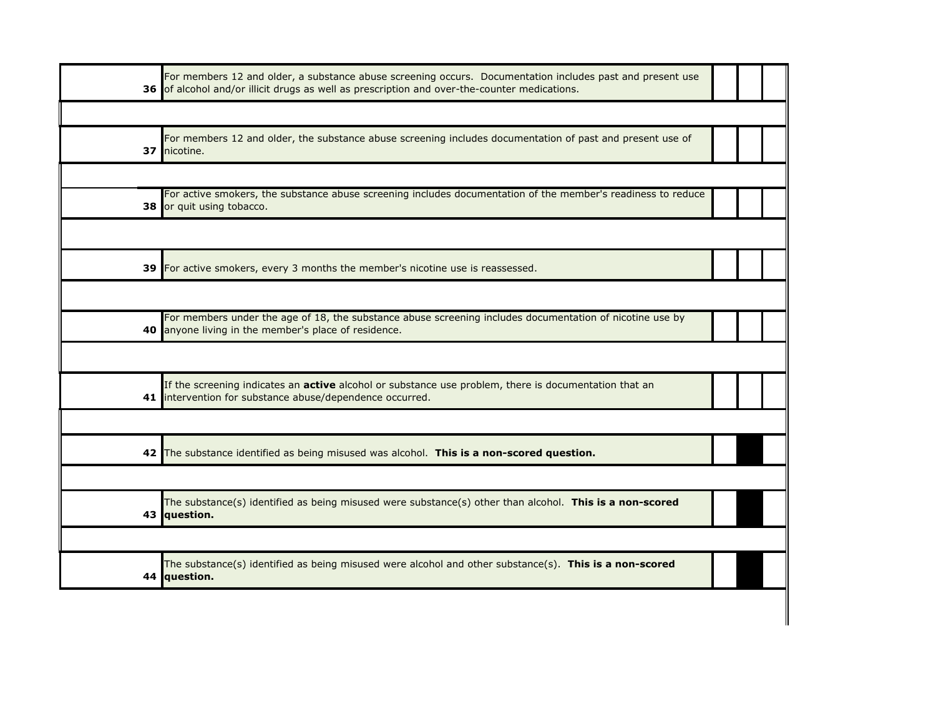|    | For members 12 and older, a substance abuse screening occurs. Documentation includes past and present use<br>36 of alcohol and/or illicit drugs as well as prescription and over-the-counter medications. |  |  |
|----|-----------------------------------------------------------------------------------------------------------------------------------------------------------------------------------------------------------|--|--|
|    |                                                                                                                                                                                                           |  |  |
| 37 | For members 12 and older, the substance abuse screening includes documentation of past and present use of<br>nicotine.                                                                                    |  |  |
|    |                                                                                                                                                                                                           |  |  |
| 38 | For active smokers, the substance abuse screening includes documentation of the member's readiness to reduce<br>or quit using tobacco.                                                                    |  |  |
|    |                                                                                                                                                                                                           |  |  |
| 39 | For active smokers, every 3 months the member's nicotine use is reassessed.                                                                                                                               |  |  |
|    |                                                                                                                                                                                                           |  |  |
|    | For members under the age of 18, the substance abuse screening includes documentation of nicotine use by<br>40 anyone living in the member's place of residence.                                          |  |  |
|    |                                                                                                                                                                                                           |  |  |
|    | If the screening indicates an active alcohol or substance use problem, there is documentation that an<br>41 intervention for substance abuse/dependence occurred.                                         |  |  |
|    |                                                                                                                                                                                                           |  |  |
|    | 42 The substance identified as being misused was alcohol. This is a non-scored question.                                                                                                                  |  |  |
|    |                                                                                                                                                                                                           |  |  |
|    | The substance(s) identified as being misused were substance(s) other than alcohol. This is a non-scored<br>43 question.                                                                                   |  |  |
|    |                                                                                                                                                                                                           |  |  |
|    | The substance(s) identified as being misused were alcohol and other substance(s). This is a non-scored<br>44 question.                                                                                    |  |  |
|    |                                                                                                                                                                                                           |  |  |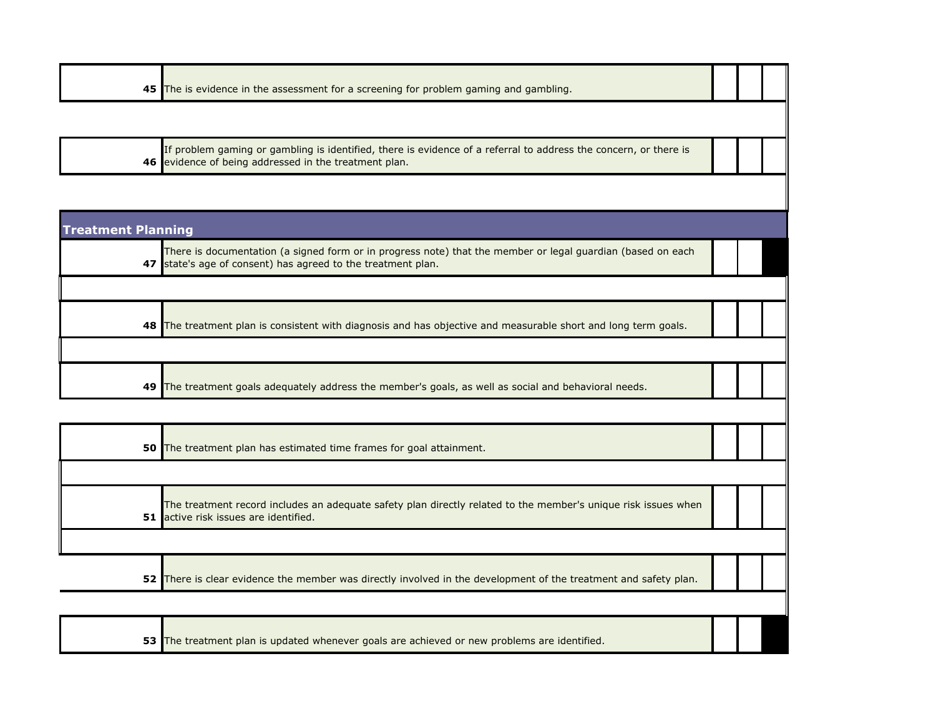| 45 The is evidence in the assessment for a screening for problem gaming and gambling. |
|---------------------------------------------------------------------------------------|
|---------------------------------------------------------------------------------------|

**46** If problem gaming or gambling is identified, there is evidence of a referral to address the concern, or there is evidence of being addressed in the treatment plan.

| <b>Treatment Planning</b> |                                                                                                                                                                             |  |  |
|---------------------------|-----------------------------------------------------------------------------------------------------------------------------------------------------------------------------|--|--|
|                           | There is documentation (a signed form or in progress note) that the member or legal guardian (based on each<br>47 state's age of consent) has agreed to the treatment plan. |  |  |
|                           |                                                                                                                                                                             |  |  |
| 48 I                      | The treatment plan is consistent with diagnosis and has objective and measurable short and long term goals.                                                                 |  |  |
|                           |                                                                                                                                                                             |  |  |
| 49                        | The treatment goals adequately address the member's goals, as well as social and behavioral needs.                                                                          |  |  |

| 50 The treatment plan has estimated time frames for goal attainment.                                                                                    |  |  |
|---------------------------------------------------------------------------------------------------------------------------------------------------------|--|--|
|                                                                                                                                                         |  |  |
| The treatment record includes an adequate safety plan directly related to the member's unique risk issues when<br>51 active risk issues are identified. |  |  |
|                                                                                                                                                         |  |  |
| 52 There is clear evidence the member was directly involved in the development of the treatment and safety plan.                                        |  |  |

**53** The treatment plan is updated whenever goals are achieved or new problems are identified.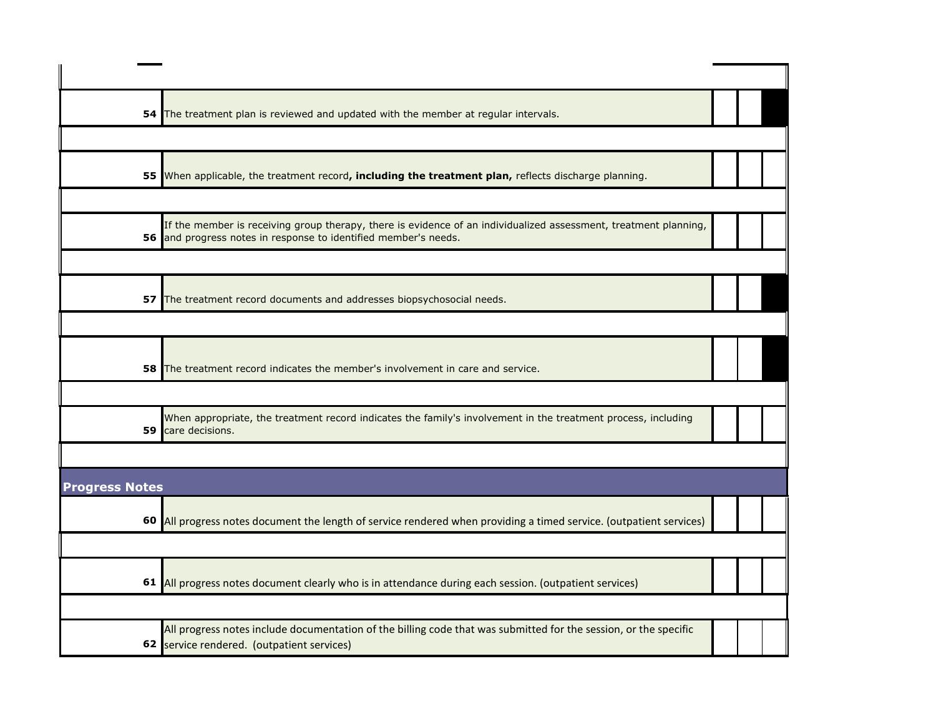| 54                    | The treatment plan is reviewed and updated with the member at regular intervals.                                                                                                    |  |  |
|-----------------------|-------------------------------------------------------------------------------------------------------------------------------------------------------------------------------------|--|--|
|                       |                                                                                                                                                                                     |  |  |
|                       | 55 When applicable, the treatment record, including the treatment plan, reflects discharge planning.                                                                                |  |  |
|                       |                                                                                                                                                                                     |  |  |
|                       | If the member is receiving group therapy, there is evidence of an individualized assessment, treatment planning,<br>56 and progress notes in response to identified member's needs. |  |  |
|                       |                                                                                                                                                                                     |  |  |
|                       | 57 The treatment record documents and addresses biopsychosocial needs.                                                                                                              |  |  |
|                       |                                                                                                                                                                                     |  |  |
|                       | <b>58</b> The treatment record indicates the member's involvement in care and service.                                                                                              |  |  |
|                       |                                                                                                                                                                                     |  |  |
| 59                    | When appropriate, the treatment record indicates the family's involvement in the treatment process, including<br>care decisions.                                                    |  |  |
|                       |                                                                                                                                                                                     |  |  |
| <b>Progress Notes</b> |                                                                                                                                                                                     |  |  |
|                       | 60 All progress notes document the length of service rendered when providing a timed service. (outpatient services)                                                                 |  |  |
|                       |                                                                                                                                                                                     |  |  |
|                       | 61 All progress notes document clearly who is in attendance during each session. (outpatient services)                                                                              |  |  |
|                       |                                                                                                                                                                                     |  |  |
|                       | All progress notes include documentation of the billing code that was submitted for the session, or the specific<br>62 service rendered. (outpatient services)                      |  |  |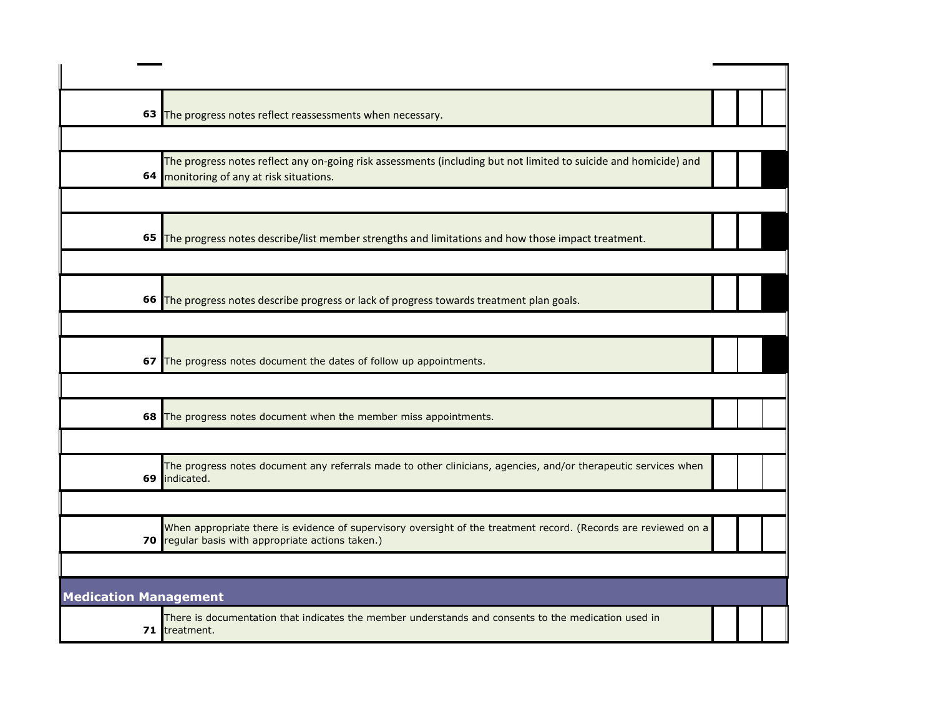|                              | 63 The progress notes reflect reassessments when necessary.                                                                                                          |  |  |
|------------------------------|----------------------------------------------------------------------------------------------------------------------------------------------------------------------|--|--|
|                              |                                                                                                                                                                      |  |  |
|                              | The progress notes reflect any on-going risk assessments (including but not limited to suicide and homicide) and<br>64 monitoring of any at risk situations.         |  |  |
|                              |                                                                                                                                                                      |  |  |
|                              | 65 The progress notes describe/list member strengths and limitations and how those impact treatment.                                                                 |  |  |
|                              |                                                                                                                                                                      |  |  |
|                              | 66 The progress notes describe progress or lack of progress towards treatment plan goals.                                                                            |  |  |
|                              |                                                                                                                                                                      |  |  |
|                              | 67 The progress notes document the dates of follow up appointments.                                                                                                  |  |  |
|                              |                                                                                                                                                                      |  |  |
|                              | 68 The progress notes document when the member miss appointments.                                                                                                    |  |  |
|                              |                                                                                                                                                                      |  |  |
|                              | The progress notes document any referrals made to other clinicians, agencies, and/or therapeutic services when<br>69 indicated.                                      |  |  |
|                              |                                                                                                                                                                      |  |  |
|                              | When appropriate there is evidence of supervisory oversight of the treatment record. (Records are reviewed on a<br>70 regular basis with appropriate actions taken.) |  |  |
|                              |                                                                                                                                                                      |  |  |
| <b>Medication Management</b> |                                                                                                                                                                      |  |  |
|                              | There is documentation that indicates the member understands and consents to the medication used in<br>71 treatment.                                                 |  |  |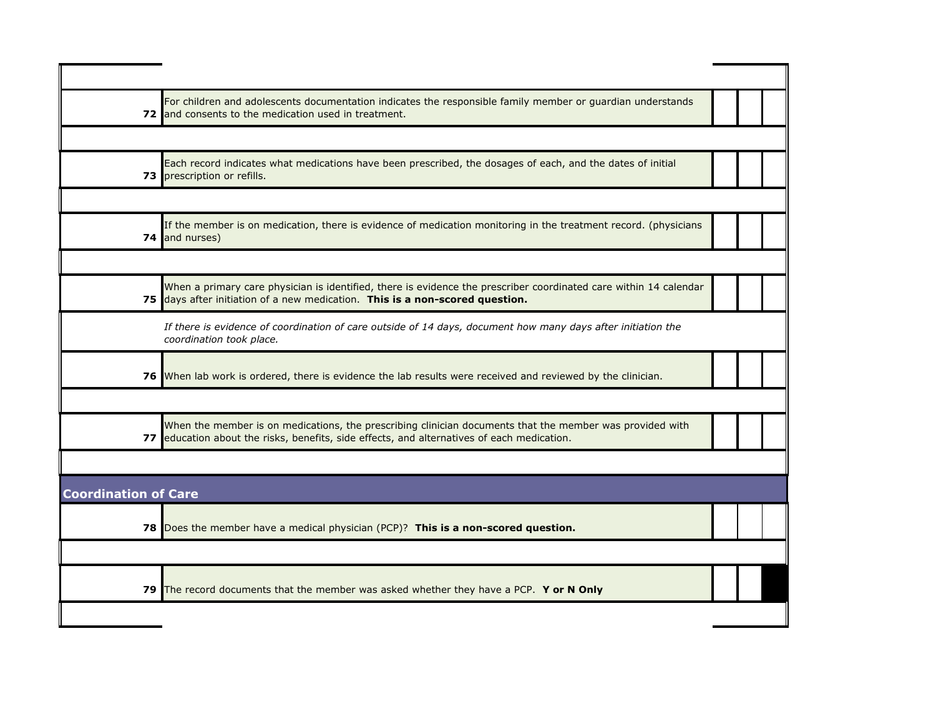|                             | For children and adolescents documentation indicates the responsible family member or guardian understands<br>72 and consents to the medication used in treatment.                                     |  |  |
|-----------------------------|--------------------------------------------------------------------------------------------------------------------------------------------------------------------------------------------------------|--|--|
|                             |                                                                                                                                                                                                        |  |  |
|                             | Each record indicates what medications have been prescribed, the dosages of each, and the dates of initial<br>73 prescription or refills.                                                              |  |  |
|                             |                                                                                                                                                                                                        |  |  |
|                             | If the member is on medication, there is evidence of medication monitoring in the treatment record. (physicians<br>74 and nurses)                                                                      |  |  |
|                             |                                                                                                                                                                                                        |  |  |
|                             | When a primary care physician is identified, there is evidence the prescriber coordinated care within 14 calendar<br>75 days after initiation of a new medication. This is a non-scored question.      |  |  |
|                             | If there is evidence of coordination of care outside of 14 days, document how many days after initiation the<br>coordination took place.                                                               |  |  |
|                             | 76 When lab work is ordered, there is evidence the lab results were received and reviewed by the clinician.                                                                                            |  |  |
|                             |                                                                                                                                                                                                        |  |  |
|                             | When the member is on medications, the prescribing clinician documents that the member was provided with<br>77 education about the risks, benefits, side effects, and alternatives of each medication. |  |  |
|                             |                                                                                                                                                                                                        |  |  |
| <b>Coordination of Care</b> |                                                                                                                                                                                                        |  |  |
|                             | 78 Does the member have a medical physician (PCP)? This is a non-scored question.                                                                                                                      |  |  |
|                             |                                                                                                                                                                                                        |  |  |
| 79 I                        | The record documents that the member was asked whether they have a PCP. Y or N Only                                                                                                                    |  |  |
|                             |                                                                                                                                                                                                        |  |  |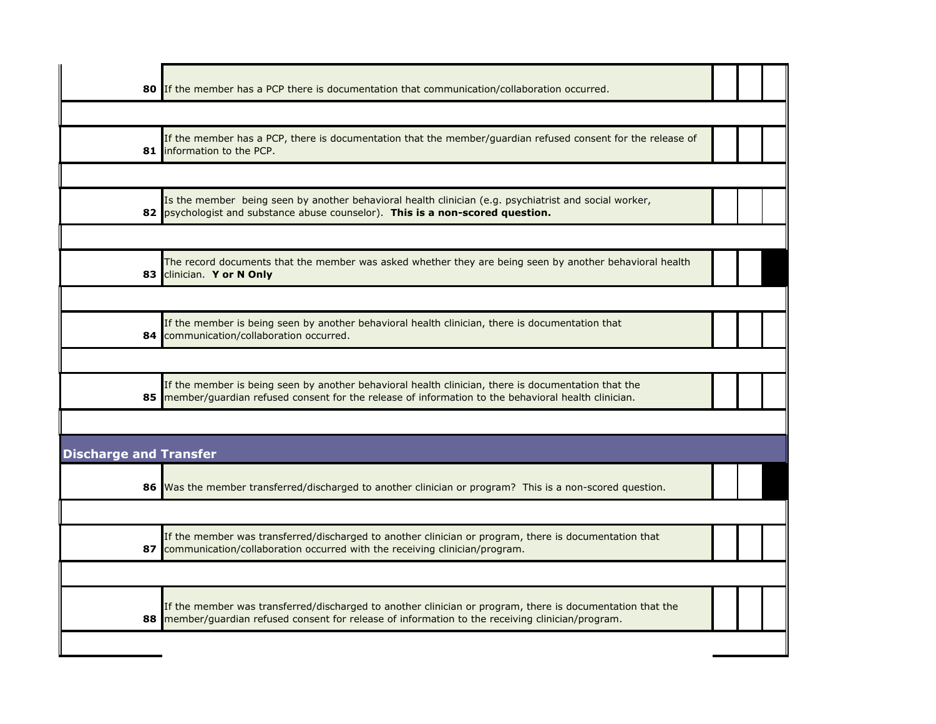|                               | 80 If the member has a PCP there is documentation that communication/collaboration occurred.                                                                                                                   |  |  |
|-------------------------------|----------------------------------------------------------------------------------------------------------------------------------------------------------------------------------------------------------------|--|--|
|                               |                                                                                                                                                                                                                |  |  |
|                               | If the member has a PCP, there is documentation that the member/guardian refused consent for the release of<br>81 Information to the PCP.                                                                      |  |  |
|                               |                                                                                                                                                                                                                |  |  |
|                               | Is the member being seen by another behavioral health clinician (e.g. psychiatrist and social worker,<br>82 psychologist and substance abuse counselor). This is a non-scored question.                        |  |  |
|                               |                                                                                                                                                                                                                |  |  |
|                               | The record documents that the member was asked whether they are being seen by another behavioral health<br>83 Clinician. Y or N Only                                                                           |  |  |
|                               |                                                                                                                                                                                                                |  |  |
| 84                            | If the member is being seen by another behavioral health clinician, there is documentation that<br>communication/collaboration occurred.                                                                       |  |  |
|                               |                                                                                                                                                                                                                |  |  |
| 85                            | If the member is being seen by another behavioral health clinician, there is documentation that the<br>member/guardian refused consent for the release of information to the behavioral health clinician.      |  |  |
|                               |                                                                                                                                                                                                                |  |  |
| <b>Discharge and Transfer</b> |                                                                                                                                                                                                                |  |  |
|                               | 86 Was the member transferred/discharged to another clinician or program? This is a non-scored question.                                                                                                       |  |  |
|                               |                                                                                                                                                                                                                |  |  |
|                               | If the member was transferred/discharged to another clinician or program, there is documentation that<br>87 communication/collaboration occurred with the receiving clinician/program.                         |  |  |
|                               |                                                                                                                                                                                                                |  |  |
|                               | If the member was transferred/discharged to another clinician or program, there is documentation that the<br>88 member/guardian refused consent for release of information to the receiving clinician/program. |  |  |
|                               |                                                                                                                                                                                                                |  |  |